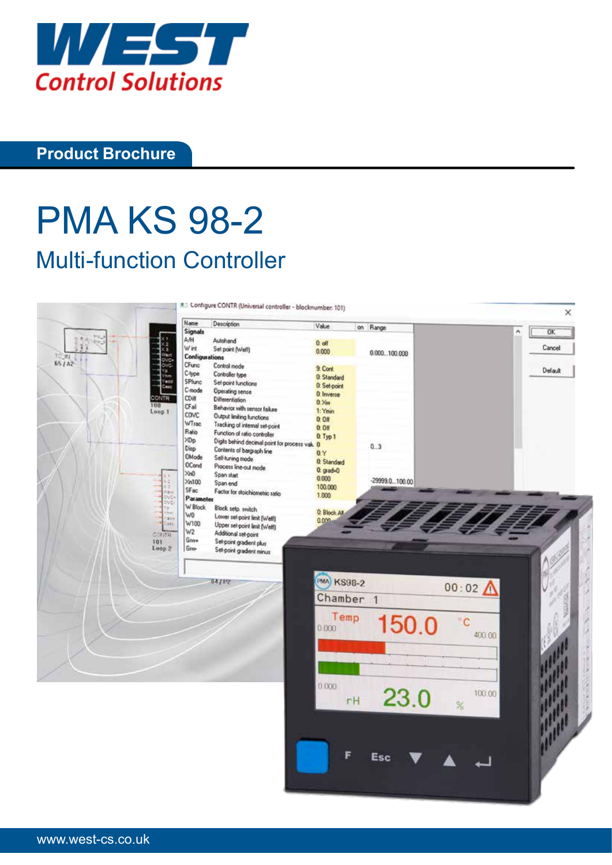

## **Product Brochure**

# PMA KS 98-2 Multi-function Controller

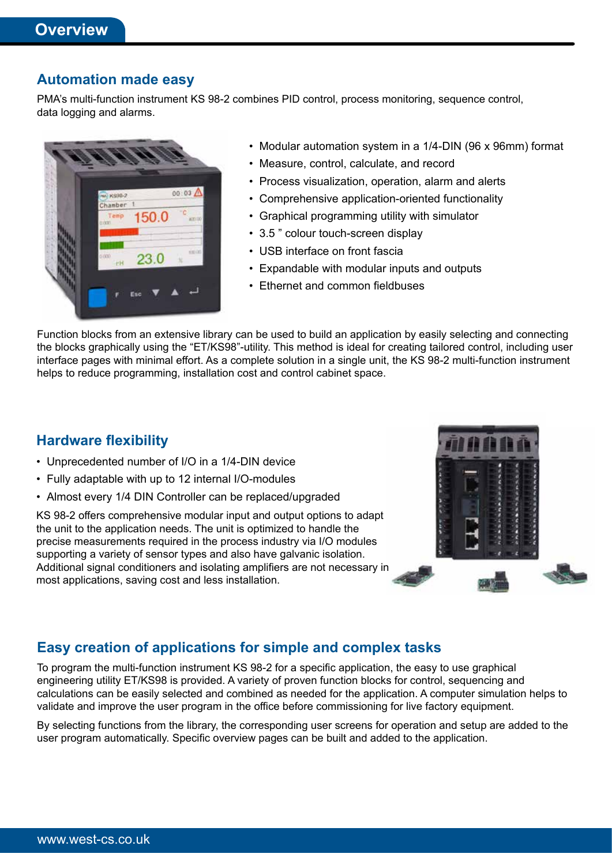#### **Automation made easy**

PMA's multi-function instrument KS 98-2 combines PID control, process monitoring, sequence control, data logging and alarms.



- Modular automation system in a 1/4-DIN (96 x 96mm) format
- Measure, control, calculate, and record
- Process visualization, operation, alarm and alerts
- Comprehensive application-oriented functionality
- Graphical programming utility with simulator
- 3.5 " colour touch-screen display
- USB interface on front fascia
- Expandable with modular inputs and outputs
- Ethernet and common fieldbuses

Function blocks from an extensive library can be used to build an application by easily selecting and connecting the blocks graphically using the "ET/KS98"-utility. This method is ideal for creating tailored control, including user interface pages with minimal effort. As a complete solution in a single unit, the KS 98-2 multi-function instrument helps to reduce programming, installation cost and control cabinet space.

#### **Hardware flexibility**

- Unprecedented number of I/O in a 1/4-DIN device
- Fully adaptable with up to 12 internal I/O-modules
- Almost every 1/4 DIN Controller can be replaced/upgraded

KS 98-2 offers comprehensive modular input and output options to adapt the unit to the application needs. The unit is optimized to handle the precise measurements required in the process industry via I/O modules supporting a variety of sensor types and also have galvanic isolation. Additional signal conditioners and isolating amplifiers are not necessary in most applications, saving cost and less installation.



## **Easy creation of applications for simple and complex tasks**

To program the multi-function instrument KS 98-2 for a specific application, the easy to use graphical engineering utility ET/KS98 is provided. A variety of proven function blocks for control, sequencing and calculations can be easily selected and combined as needed for the application. A computer simulation helps to validate and improve the user program in the office before commissioning for live factory equipment.

By selecting functions from the library, the corresponding user screens for operation and setup are added to the user program automatically. Specific overview pages can be built and added to the application.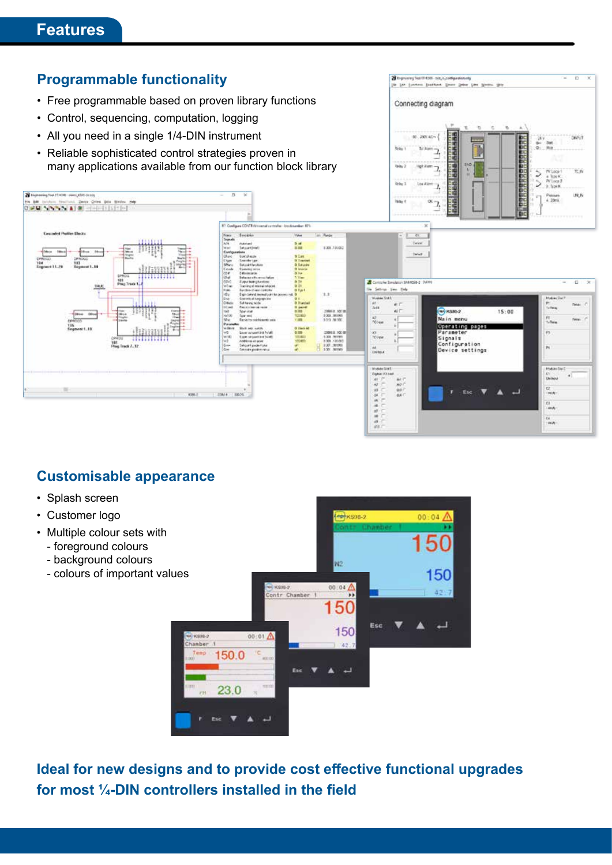## **Features**



## **Customisable appearance**

- Splash screen
- Customer logo
- Multiple colour sets with
	- foreground colours
	- background colours
	- colours of important values



**Ideal for new designs and to provide cost effective functional upgrades for most ¼-DIN controllers installed in the field**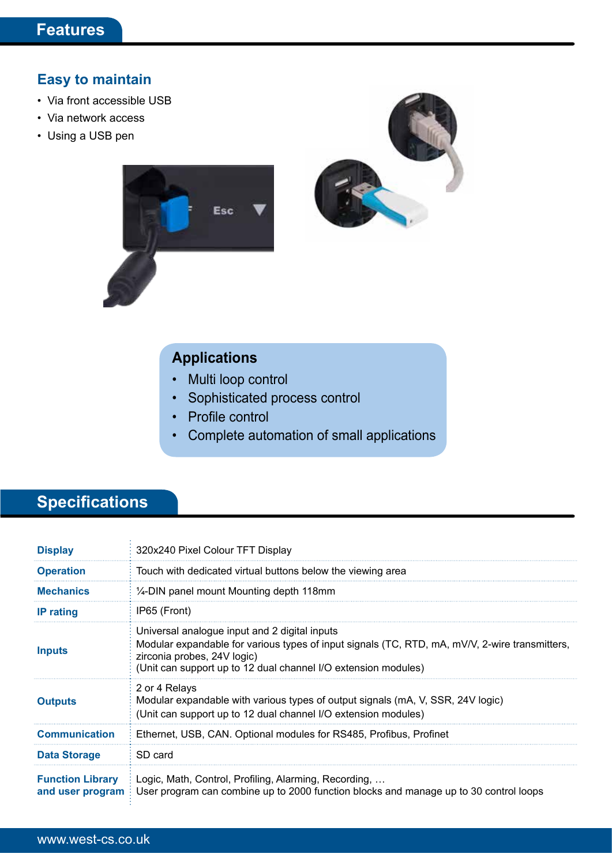## **Easy to maintain**

- Via front accessible USB
- Via network access
- Using a USB pen



# **Applications**

**Esc** 

- Multi loop control
- Sophisticated process control
- Profile control
- Complete automation of small applications

# **Specifications**

| <b>Display</b>                              | 320x240 Pixel Colour TFT Display                                                                                                                                                                                                                 |
|---------------------------------------------|--------------------------------------------------------------------------------------------------------------------------------------------------------------------------------------------------------------------------------------------------|
| <b>Operation</b>                            | Touch with dedicated virtual buttons below the viewing area                                                                                                                                                                                      |
| <b>Mechanics</b>                            | $\frac{1}{4}$ -DIN panel mount Mounting depth 118mm                                                                                                                                                                                              |
| <b>IP</b> rating                            | IP65 (Front)                                                                                                                                                                                                                                     |
| <b>Inputs</b>                               | Universal analogue input and 2 digital inputs<br>Modular expandable for various types of input signals (TC, RTD, mA, mV/V, 2-wire transmitters,<br>zirconia probes, 24V logic)<br>(Unit can support up to 12 dual channel I/O extension modules) |
| <b>Outputs</b>                              | 2 or 4 Relays<br>Modular expandable with various types of output signals (mA, V, SSR, 24V logic)<br>(Unit can support up to 12 dual channel I/O extension modules)                                                                               |
| <b>Communication</b>                        | Ethernet, USB, CAN. Optional modules for RS485, Profibus, Profinet                                                                                                                                                                               |
| <b>Data Storage</b>                         | SD card                                                                                                                                                                                                                                          |
| <b>Function Library</b><br>and user program | Logic, Math, Control, Profiling, Alarming, Recording,<br>User program can combine up to 2000 function blocks and manage up to 30 control loops                                                                                                   |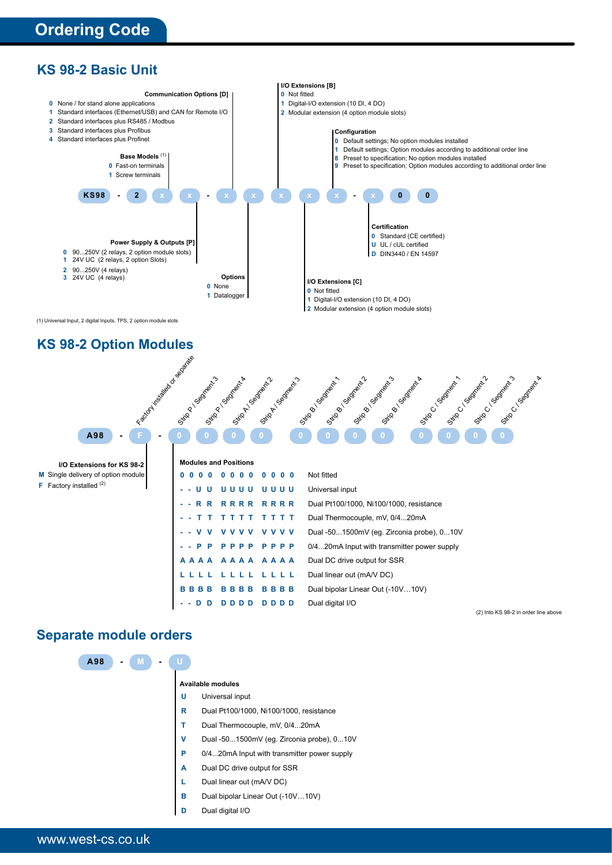



#### **KS 98-2 Option Modules**

| Island Maria Book River River      | OSCOLLIBORITY<br>Grico Companya<br>OSI CONDENSIONS<br>OSI CO COORDINATION<br>Given Good Manuscript<br>OSI DO DOMINIONS<br>OSI-OSI OSIMALINE M<br>Still And September<br>OSI TON BOOM PAIN<br>OSI DO DOMINION A<br>OFICE OF CONTRACTOR<br>Strip Company |  |
|------------------------------------|--------------------------------------------------------------------------------------------------------------------------------------------------------------------------------------------------------------------------------------------------------|--|
| A98<br>$\blacksquare$              |                                                                                                                                                                                                                                                        |  |
| I/O Extensions for KS 98-2         | <b>Modules and Positions</b>                                                                                                                                                                                                                           |  |
| M Single delivery of option module | Not fitted<br>0 <sub>0</sub>                                                                                                                                                                                                                           |  |
| <b>F</b> Factory installed $(2)$   | Universal input<br>UUU<br>-11<br>u                                                                                                                                                                                                                     |  |
|                                    | <b>RRRR</b><br>Dual Pt100/1000, Ni100/1000, resistance<br><b>RRRR</b><br>R R<br>$\sim$                                                                                                                                                                 |  |
|                                    | Dual Thermocouple, mV, 0/420mA<br>тт                                                                                                                                                                                                                   |  |
|                                    | Dual -501500mV (eg. Zirconia probe), 010V<br>v v                                                                                                                                                                                                       |  |
|                                    | 0/420mA Input with transmitter power supply<br>PPP<br>P<br>P<br>P                                                                                                                                                                                      |  |
|                                    | Dual DC drive output for SSR<br>A A A                                                                                                                                                                                                                  |  |

**LLLL LLLL LLLL** Dual linear out (mA/V DC)

**--DD DDDD DDDD** Dual digital I/O

**BBBB BBBB BBBB** Dual bipolar Linear Out (-10V…10V)

(2) Into KS 98-2 in order line above

#### **Separate module orders**

| A98 |  |   |                                             |
|-----|--|---|---------------------------------------------|
|     |  |   | <b>Available modules</b>                    |
|     |  | υ | Universal input                             |
|     |  | R | Dual Pt100/1000, Ni100/1000, resistance     |
|     |  | т | Dual Thermocouple, mV, 0/420mA              |
|     |  | v | Dual -501500mV (eg. Zirconia probe), 010V   |
|     |  | P | 0/420mA Input with transmitter power supply |
|     |  | A | Dual DC drive output for SSR                |
|     |  | L | Dual linear out (mA/V DC)                   |
|     |  | в | Dual bipolar Linear Out (-10V10V)           |
|     |  | D | Dual digital I/O                            |